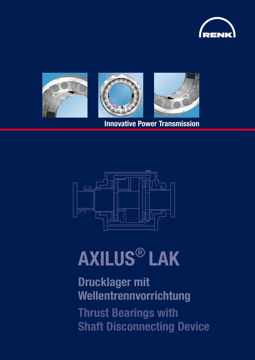



Innovative Power Transmission



# AXILUS® LAK

### Drucklager mit Wellentrennvorrichtung

Thrust Bearings with Shaft Disconnecting Device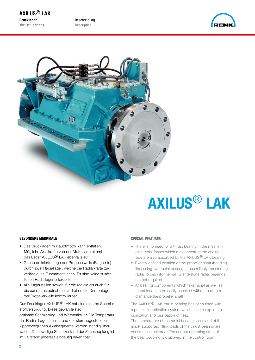Beschreibung Description





## AXILUS® LAK

#### BESONDERE MERKMALE

- Das Drucklager im Hauptmotor kann entfallen. Mögliche Axialkräfte von der Motorseite nimmt das Lager AXILUS<sup>®</sup> LAK ebenfalls auf.
- Genau definierte Lage der Propellerwelle (Biegelinie) durch zwei Radiallager, welche die Radialkräfte zu verlässig ins Fundament leiten. Es sind keine zusätz lichen Radiallager erforderlich.
- Alle Lagerstellen sowohl für die radiale als auch für die axiale Lastaufnahme sind ohne die Demontage der Propellerwelle kontrollierbar.

Das Drucklager AXILUS<sup>®</sup> LAK hat eine externe Schmierstoffversorgung. Diese gewährleistet

optimale Schmierung und Wärmeabfuhr. Die Temperatur der Radial-Lagerschalen und der starr abgestützten kippbeweglichen Axialsegmente werden ständig überwacht. Der jeweilige Schaltzustand der Zahnkupplung ist im Leitstand jederzeit eindeutig erkennbar.

#### SPECIAL FEATURES

- There is no need for a thrust bearing in the main en gine. Axial forces which may appear at the engine side are also absorbed by the AXILUS<sup>®</sup> LAK bearing.
- Exactly defined position of the propeller shaft (bending line) using two radial bearings, thus reliably transferring radial forces into the hull. Stand-alone radial bearings are not required.
- All bearing components which take radial as well as thrust load can be easily checked without having to dismantle the propeller shaft.

The AXILUS® LAK thrust bearing has been fitted with a pressure lubrication system which ensures optimum lubrication and dissipation of heat.

The temperature of the radial bearing shells and of the rigidly supported tilting pads of the thrust bearing are constantly monitored. The current operating state of the gear coupling is displayed in the control room.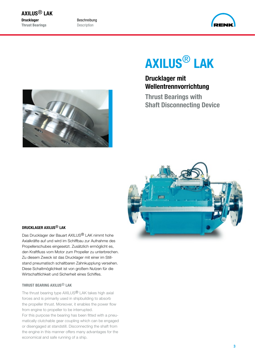Beschreibung Description



### AXILUS® LAK

Drucklager mit Wellentrennvorrichtung

Thrust Bearings with Shaft Disconnecting Device





#### DRUCKLAGER AXILUS® LAK

Das Drucklager der Bauart AXILUS® LAK nimmt hohe Axialkräfte auf und wird im Schiffbau zur Aufnahme des Propellerschubes eingesetzt. Zusätzlich ermöglicht es, den Kraftfluss vom Motor zum Propeller zu unterbrechen. Zu diesem Zweck ist das Drucklager mit einer im Stillstand pneumatisch schaltbaren Zahnkupplung versehen. Diese Schaltmöglichkeit ist von großem Nutzen für die Wirtschaftlichkeit und Sicherheit eines Schiffes.

#### THRUST BEARING AXILUS® LAK

The thrust bearing type AXILUS<sup>®</sup> LAK takes high axial forces and is primarily used in shipbuilding to absorb the propeller thrust. Moreover, it enables the power flow from engine to propeller to be interrupted.

For this purpose the bearing has been fitted with a pneumatically clutchable gear coupling which can be engaged or disengaged at standstill. Disconnecting the shaft from the engine in this manner offers many advantages for the economical and safe running of a ship.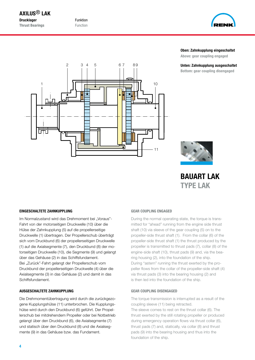Funktion Function



#### Oben: Zahnkupplung eingeschaltet

Above: gear coupling engaged

Unten: Zahnkupplung ausgeschaltet Bottom: gear coupling disengaged





BAUART LAK TYPE LAK

#### EINGESCHALTETE ZAHNKUPPLUNG

Im Normalzustand wird das Drehmoment bei "Voraus"-Fahrt von der motorseitigen Druckwelle (10) über die Hülse der Zahnkupplung (5) auf die propellerseitige Druckwelle (1) übertragen. Der Propellerschub überträgt sich vom Druckbund (6) der propellerseitigen Druckwelle (1) auf die Axialsegmente (7), den Druckbund (8) der motorseitigen Druckwelle (10), die Segmente (9) und gelangt über das Gehäuse (2) in das Schiffsfundament. Bei "Zurück"-Fahrt gelangt der Propellerschub vom Druckbund der propellerseitigen Druckwelle (4) über die Axialsegmente (3) in das Gehäuse (2) und damit in das Schiffsfundament.

#### AUSGESCHALTETE ZAHNKUPPLUNG

Die Drehmomentübertragung wird durch die zurückgezogene Kupplungshülse (11) unterbrochen. Die Kupplungshülse wird durch den Druckbund (6) geführt. Der Propellerschub bei mitdrehendem Propeller oder bei Notbetrieb gelangt über den Druckbund (6), die Axialsegmente (7) und statisch über den Druckbund (8) und die Axialsegmente (9) in das Gehäuse bzw. das Fundament.

#### GEAR COUPLING ENGAGED

During the normal operating state, the torque is transmitted for "ahead" running from the engine side thrust shaft (10) via sleeve of the gear coupling (5) on to the propeller-side thrust shaft (1). From the collar (6) of the propeller-side thrust shaft (1) the thrust produced by the propeller is transmitted to thrust pads (7), collar (8) of the engine-side shaft (10), thrust pads (9) and, via the bearing housing (2), into the foundation of the ship. During "astern" running the thrust exerted by the propeller flows from the collar of the propeller-side shaft (4) via thrust pads (3) into the bearing housing (2) and is then led into the foundation of the ship.

#### GEAR COUPLING DISENGAGED

The torque transmission is interrupted as a result of the coupling sleeve (11) being retracted.

The sleeve comes to rest on the thrust collar (6). The thrust exerted by the still rotating propeller or produced during emergency operation flows via thrust collar (6), thrust pads (7) and, statically, via collar (8) and thrust pads (9) into the bearing housing and thus into the foundation of the ship.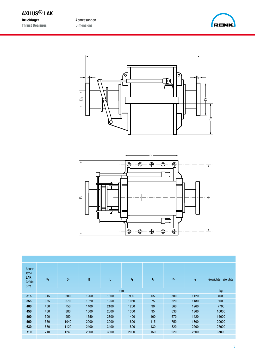Abmessungen Dimensions







| <b>Bauart</b><br><b>Type</b><br><b>LAK</b><br>Größe<br><b>Size</b> | $D_s$ | $D_f$ | B    | L    | h    | $\mathbf{I}_2$ | h <sub>1</sub> | e    | Weights<br>Gewichte |
|--------------------------------------------------------------------|-------|-------|------|------|------|----------------|----------------|------|---------------------|
|                                                                    | mm    |       |      |      |      |                |                | kg   |                     |
| 315                                                                | 315   | 600   | 1260 | 1800 | 900  | 65             | 500            | 1120 | 4600                |
| 355                                                                | 355   | 670   | 1320 | 1950 | 1050 | 75             | 520            | 1180 | 6000                |
| 400                                                                | 400   | 750   | 1400 | 2100 | 1200 | 90             | 560            | 1260 | 7700                |
| 450                                                                | 450   | 880   | 1500 | 2600 | 1350 | 95             | 630            | 1360 | 10000               |
| 500                                                                | 500   | 950   | 1650 | 2800 | 1400 | 100            | 670            | 1420 | 14000               |
| 560                                                                | 560   | 1040  | 2000 | 3000 | 1600 | 115            | 750            | 1800 | 20000               |
| 630                                                                | 630   | 1120  | 2400 | 3400 | 1800 | 130            | 820            | 2200 | 27000               |
| 710                                                                | 710   | 1240  | 2800 | 3800 | 2000 | 150            | 920            | 2600 | 37000               |
|                                                                    |       |       |      |      |      |                |                |      |                     |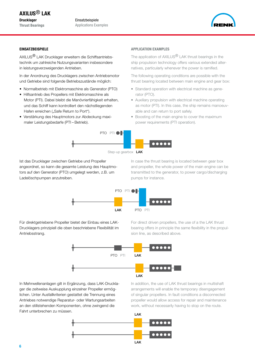Einsatzbeispiele Applications Examples



#### **EINSATZBEISPIELE**

AXILUS® LAK Drucklager erweitern die Schiffsantriebstechnik um zahlreiche Nutzungsvarianten insbesondere in leistungsverzweigenden Antrieben.

In der Anordnung des Drucklagers zwischen Antriebsmotor und Getriebe sind folgende Betriebszustände möglich:

- Normalbetrieb mit Elektromaschine als Generator (PTO)
- Hilfsantrieb des Propellers mit Elektromaschine als Motor (PTI). Dabei bleibt die Manövrierfähigkeit erhalten, und das Schiff kann kontrolliert den nächstliegenden Hafen erreichen ("Safe Return to Port").
- Verstärkung des Hauptmotors zur Abdeckung maxi maler Leistungsbedarfe (PTI – Betrieb).

#### APPLICATION EXAMPLES

The application of AXILUS<sup>®</sup> LAK thrust bearings in the ship propulsion technology offers various extended alternatives, particularly whenever the power is ramified.

The following operating conditions are possible with the thrust bearing located between main engine and gear box:

- Standard operation with electrical machine as gene rator (PTO).
- Auxiliary propulsion with electrical machine operating as motor (PTI). In this case, the ship remains manoeuv able and can return to port safely.
- Boosting of the main engine to cover the maximum power requirements (PTI operation).



Ist das Drucklager zwischen Getriebe und Propeller angeordnet, so kann die gesamte Leistung des Hauptmotors auf den Generator (PTO) umgelegt werden, z.B. um Ladelöschpumpen anzutreiben.

In case the thrust bearing is located between gear box and propeller, the whole power of the main engine can be transmitted to the generator, to power cargo/discharging pumps for instance.



Für direktgetriebene Propeller bietet der Einbau eines LAK-Drucklagers prinzipiell die oben beschriebene Flexibilität im Antriebsstrang.

For direct driven propellers, the use of a the LAK thrust bearing offers in principle the same flexibility in the propulsion line, as described above.



In Mehrwellenanlagen gilt in Ergänzung, dass LAK-Drucklager die zeitweise Auskupplung einzelner Propeller ermöglichen. Unter Ausfallkriterien gestattet die Trennung eines Antriebes notwendige Reparatur- oder Wartungsarbeiten an den stillstehenden Komponenten, ohne zwingend die Fahrt unterbrechen zu müssen.

In addition, the use of LAK thrust bearings in multishaft arrangements will enable the temporary disengagement of singular propellers. In fault conditions a disconnected propeller would allow access for repair and maintenance work, without necessarily having to stop on the route.

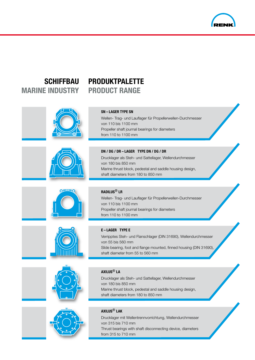

### MARINE INDUSTRY PRODUCT RANGE

### SCHIFFBAU PRODUKTPALETTE

| <b>SN-LAGER TYPE SN</b><br>Wellen- Trag- und Lauflager für Propellerwellen-Durchmesser<br>von 110 bis 1100 mm<br>Propeller shaft journal bearings for diameters<br>from 110 to 1100 mm                                    |
|---------------------------------------------------------------------------------------------------------------------------------------------------------------------------------------------------------------------------|
| DN / DG / DR - LAGER TYPE DN / DG / DR<br>Drucklager als Steh- und Sattellager, Wellendurchmesser<br>von 180 bis 850 mm<br>Marine thrust block, pedestal and saddle housing design,<br>shaft diameters from 180 to 850 mm |
| <b>RADILUS<sup>®</sup> LR</b><br>Wellen- Trag- und Lauflager für Propellerwellen-Durchmesser<br>von 110 bis 1100 mm<br>Propeller shaft journal bearings for diameters<br>from 110 to 1100 mm                              |
| <b>E-LAGER TYPE E</b><br>Verripptes Steh- und Flanschlager (DIN 31690), Wellendurchmesser<br>von 55 bis 560 mm<br>Slide bearing, foot and flange mounted, finned housing (DIN 31690),<br>shaft diameter from 55 to 560 mm |
| AXILUS <sup>®</sup> LA                                                                                                                                                                                                    |





#### AXILUS® LAK

Drucklager mit Wellentrennvorrichtung, Wellendurchmesser von 315 bis 710 mm Thrust bearings with shaft disconnecting device, diameters from 315 to 710 mm